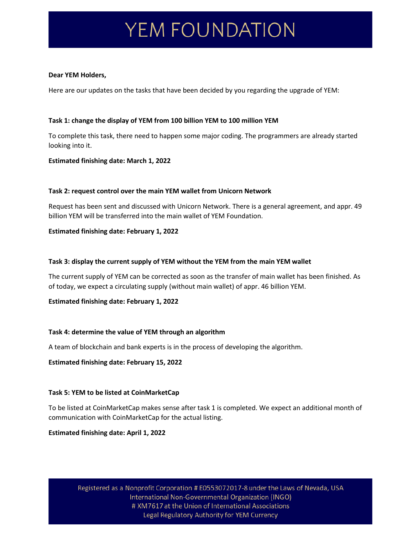# YEM FOUNDATION

#### **Dear YEM Holders,**

Here are our updates on the tasks that have been decided by you regarding the upgrade of YEM:

## **Task 1: change the display of YEM from 100 billion YEM to 100 million YEM**

To complete this task, there need to happen some major coding. The programmers are already started looking into it.

## **Estimated finishing date: March 1, 2022**

## **Task 2: request control over the main YEM wallet from Unicorn Network**

Request has been sent and discussed with Unicorn Network. There is a general agreement, and appr. 49 billion YEM will be transferred into the main wallet of YEM Foundation.

## **Estimated finishing date: February 1, 2022**

## **Task 3: display the current supply of YEM without the YEM from the main YEM wallet**

The current supply of YEM can be corrected as soon as the transfer of main wallet has been finished. As of today, we expect a circulating supply (without main wallet) of appr. 46 billion YEM.

## **Estimated finishing date: February 1, 2022**

## **Task 4: determine the value of YEM through an algorithm**

A team of blockchain and bank experts is in the process of developing the algorithm.

## **Estimated finishing date: February 15, 2022**

## **Task 5: YEM to be listed at CoinMarketCap**

To be listed at CoinMarketCap makes sense after task 1 is completed. We expect an additional month of communication with CoinMarketCap for the actual listing.

## **Estimated finishing date: April 1, 2022**

Registered as a Nonprofit Corporation # E0553072017-8 under the Laws of Nevada, USA International Non-Governmental Organization (INGO) # XM7617 at the Union of International Associations Legal Regulatory Authority for YEM Currency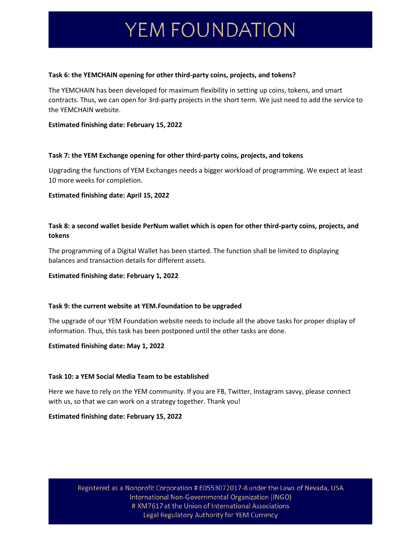## YEM FOUNDATION

#### **Task 6: the YEMCHAIN opening for other third-party coins, projects, and tokens?**

The YEMCHAIN has been developed for maximum flexibility in setting up coins, tokens, and smart contracts. Thus, we can open for 3rd-party projects in the short term. We just need to add the service to the YEMCHAIN website.

#### **Estimated finishing date: February 15, 2022**

#### **Task 7: the YEM Exchange opening for other third-party coins, projects, and tokens**

Upgrading the functions of YEM Exchanges needs a bigger workload of programming. We expect at least 10 more weeks for completion.

#### **Estimated finishing date: April 15, 2022**

## **Task 8: a second wallet beside PerNum wallet which is open for other third-party coins, projects, and tokens**

The programming of a Digital Wallet has been started. The function shall be limited to displaying balances and transaction details for different assets.

## **Estimated finishing date: February 1, 2022**

## **Task 9: the current website at YEM.Foundation to be upgraded**

The upgrade of our YEM Foundation website needs to include all the above tasks for proper display of information. Thus, this task has been postponed until the other tasks are done.

#### **Estimated finishing date: May 1, 2022**

## **Task 10: a YEM Social Media Team to be established**

Here we have to rely on the YEM community. If you are FB, Twitter, Instagram savvy, please connect with us, so that we can work on a strategy together. Thank you!

## **Estimated finishing date: February 15, 2022**